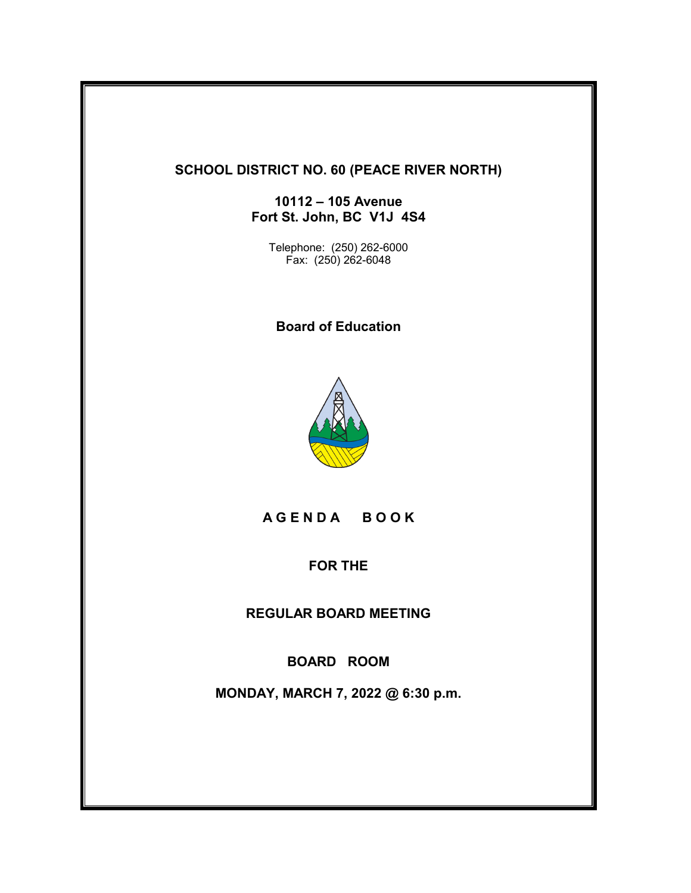# **SCHOOL DISTRICT NO. 60 (PEACE RIVER NORTH)**

**10112 – 105 Avenue Fort St. John, BC V1J 4S4**

Telephone: (250) 262-6000 Fax: (250) 262-6048

**Board of Education**



**A G E N D A B O O K**

**FOR THE**

**REGULAR BOARD MEETING**

**BOARD ROOM**

**MONDAY, MARCH 7, 2022 @ 6:30 p.m.**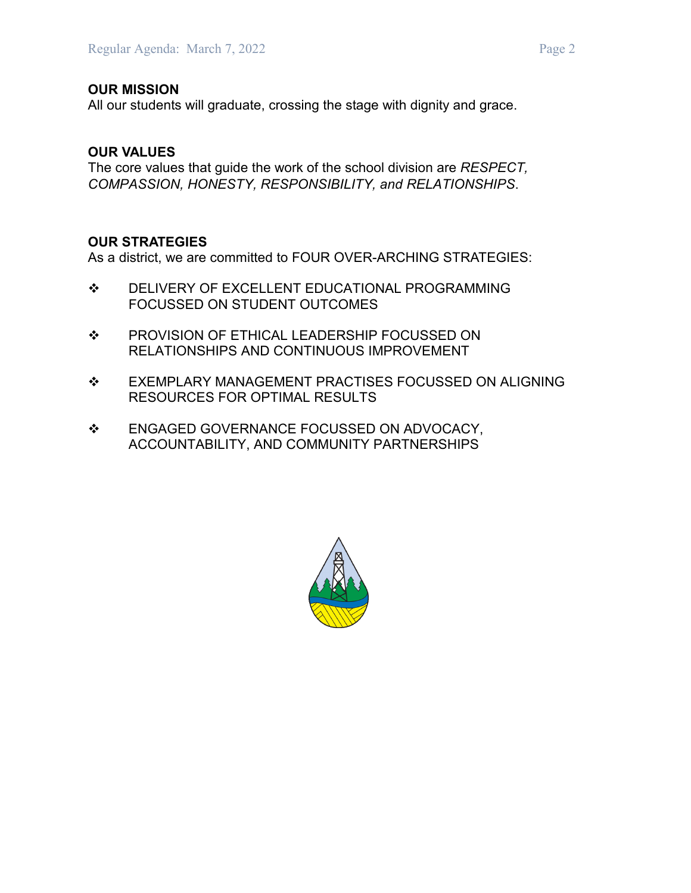All our students will graduate, crossing the stage with dignity and grace.

# **OUR VALUES**

The core values that guide the work of the school division are *RESPECT, COMPASSION, HONESTY, RESPONSIBILITY, and RELATIONSHIPS*.

### **OUR STRATEGIES**

As a district, we are committed to FOUR OVER-ARCHING STRATEGIES:

- $\div$  DELIVERY OF EXCELLENT EDUCATIONAL PROGRAMMING FOCUSSED ON STUDENT OUTCOMES
- $\div$  PROVISION OF ETHICAL LEADERSHIP FOCUSSED ON RELATIONSHIPS AND CONTINUOUS IMPROVEMENT
- $\div$  EXEMPLARY MANAGEMENT PRACTISES FOCUSSED ON ALIGNING RESOURCES FOR OPTIMAL RESULTS
- ENGAGED GOVERNANCE FOCUSSED ON ADVOCACY, ACCOUNTABILITY, AND COMMUNITY PARTNERSHIPS

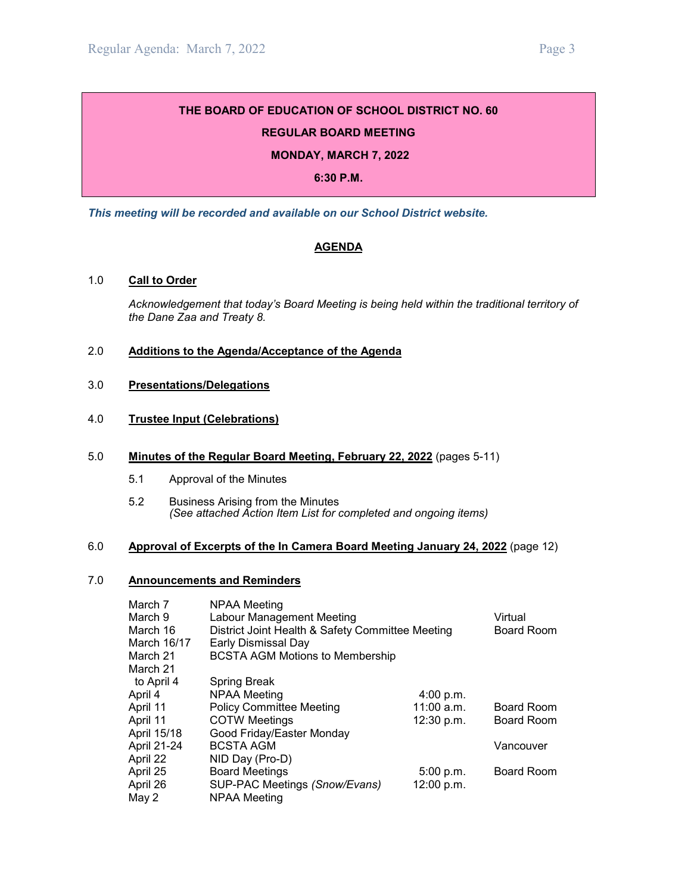#### **REGULAR BOARD MEETING**

#### **MONDAY, MARCH 7, 2022**

#### **6:30 P.M.**

*This meeting will be recorded and available on our School District website.*

#### **AGENDA**

#### 1.0 **Call to Order**

*Acknowledgement that today's Board Meeting is being held within the traditional territory of the Dane Zaa and Treaty 8.*

#### 2.0 **Additions to the Agenda/Acceptance of the Agenda**

3.0 **Presentations/Delegations**

#### 4.0 **Trustee Input (Celebrations)**

#### 5.0 **Minutes of the Regular Board Meeting, February 22, 2022** (pages 5-11)

- 5.1 Approval of the Minutes
- 5.2 Business Arising from the Minutes *(See attached Action Item List for completed and ongoing items)*

#### 6.0 **Approval of Excerpts of the In Camera Board Meeting January 24, 2022** (page 12)

#### 7.0 **Announcements and Reminders**

| March 7     | NPAA Meeting                                     |              |                   |
|-------------|--------------------------------------------------|--------------|-------------------|
| March 9     | Labour Management Meeting                        |              | Virtual           |
| March 16    | District Joint Health & Safety Committee Meeting |              | Board Room        |
| March 16/17 | Early Dismissal Day                              |              |                   |
| March 21    | <b>BCSTA AGM Motions to Membership</b>           |              |                   |
| March 21    |                                                  |              |                   |
| to April 4  | <b>Spring Break</b>                              |              |                   |
| April 4     | <b>NPAA Meeting</b>                              | 4:00 p.m.    |                   |
| April 11    | <b>Policy Committee Meeting</b>                  | $11:00$ a.m. | <b>Board Room</b> |
| April 11    | <b>COTW Meetings</b>                             | 12:30 p.m.   | <b>Board Room</b> |
| April 15/18 | Good Friday/Easter Monday                        |              |                   |
| April 21-24 | <b>BCSTA AGM</b>                                 |              | Vancouver         |
| April 22    | NID Day (Pro-D)                                  |              |                   |
| April 25    | <b>Board Meetings</b>                            | 5:00 p.m.    | Board Room        |
| April 26    | SUP-PAC Meetings (Snow/Evans)                    | 12:00 p.m.   |                   |
| May 2       | NPAA Meeting                                     |              |                   |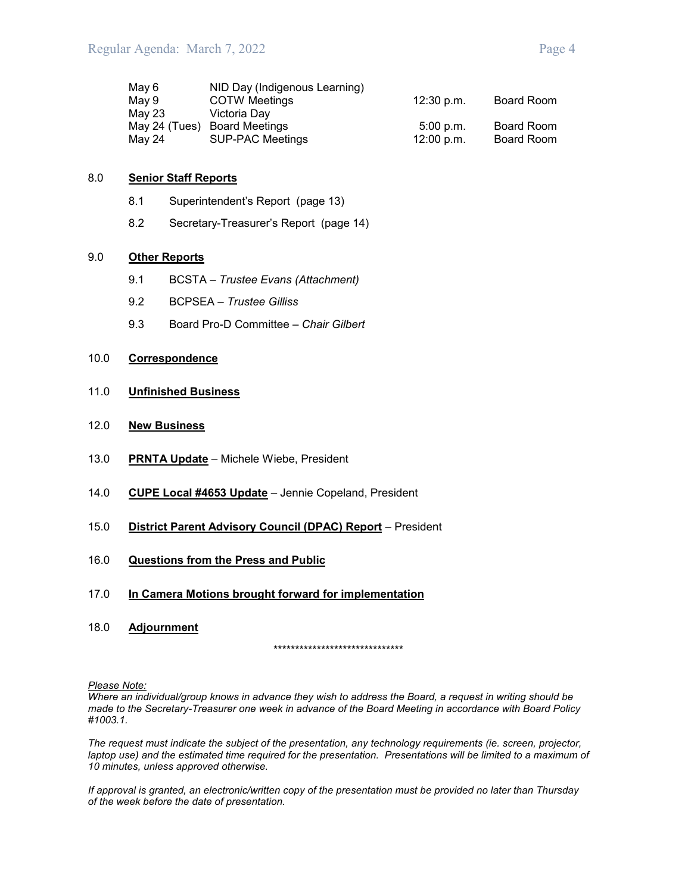| May 6         | NID Day (Indigenous Learning) |            |            |
|---------------|-------------------------------|------------|------------|
| Mav 9         | <b>COTW Meetings</b>          | 12:30 p.m. | Board Room |
| May 23        | Victoria Dav                  |            |            |
| May 24 (Tues) | <b>Board Meetings</b>         | 5:00 p.m.  | Board Room |
| May 24        | <b>SUP-PAC Meetings</b>       | 12:00 p.m. | Board Room |

#### 8.0 **Senior Staff Reports**

- 8.1 Superintendent's Report (page 13)
- 8.2 Secretary-Treasurer's Report (page 14)

#### 9.0 **Other Reports**

- 9.1 BCSTA *Trustee Evans (Attachment)*
- 9.2 BCPSEA *Trustee Gilliss*
- 9.3 Board Pro-D Committee *Chair Gilbert*

#### 10.0 **Correspondence**

- 11.0 **Unfinished Business**
- 12.0 **New Business**
- 13.0 **PRNTA Update** Michele Wiebe, President
- 14.0 **CUPE Local #4653 Update** Jennie Copeland, President
- 15.0 **District Parent Advisory Council (DPAC) Report** President
- 16.0 **Questions from the Press and Public**
- 17.0 **In Camera Motions brought forward for implementation**
- 18.0 **Adjournment**

\*\*\*\*\*\*\*\*\*\*\*\*\*\*\*\*\*\*\*\*\*\*\*\*\*\*\*\*\*\*

*Please Note:*

*Where an individual/group knows in advance they wish to address the Board, a request in writing should be made to the Secretary-Treasurer one week in advance of the Board Meeting in accordance with Board Policy #1003.1.*

*The request must indicate the subject of the presentation, any technology requirements (ie. screen, projector, laptop use) and the estimated time required for the presentation. Presentations will be limited to a maximum of 10 minutes, unless approved otherwise.*

*If approval is granted, an electronic/written copy of the presentation must be provided no later than Thursday of the week before the date of presentation.*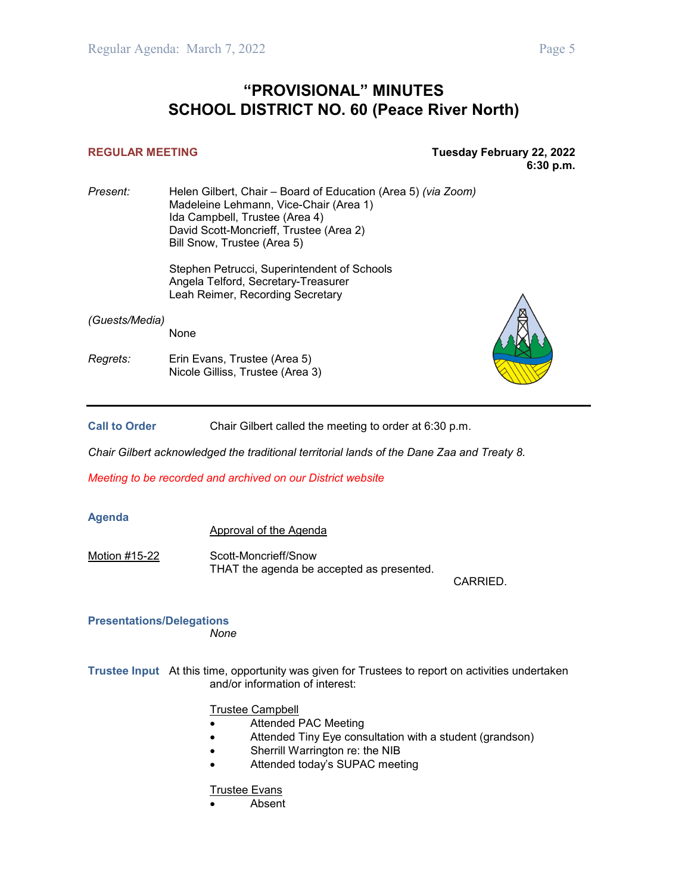# **"PROVISIONAL" MINUTES SCHOOL DISTRICT NO. 60 (Peace River North)**

#### **REGULAR MEETING Tuesday February 22, 2022 6:30 p.m.**

*Present:* Helen Gilbert, Chair – Board of Education (Area 5) *(via Zoom)* Madeleine Lehmann, Vice-Chair (Area 1) Ida Campbell, Trustee (Area 4) David Scott-Moncrieff, Trustee (Area 2) Bill Snow, Trustee (Area 5)

Stephen Petrucci, Superintendent of Schools Angela Telford, Secretary-Treasurer Leah Reimer, Recording Secretary

*(Guests/Media)*

None

*Regrets:* Erin Evans, Trustee (Area 5) Nicole Gilliss, Trustee (Area 3)



**Call to Order** Chair Gilbert called the meeting to order at 6:30 p.m.

*Chair Gilbert acknowledged the traditional territorial lands of the Dane Zaa and Treaty 8.*

*Meeting to be recorded and archived on our District website*

#### **Agenda**

Approval of the Agenda

Motion #15-22 Scott-Moncrieff/Snow THAT the agenda be accepted as presented.

CARRIED.

#### **Presentations/Delegations** *None*

**Trustee Input** At this time, opportunity was given for Trustees to report on activities undertaken and/or information of interest:

Trustee Campbell

- Attended PAC Meeting
- Attended Tiny Eye consultation with a student (grandson)
- Sherrill Warrington re: the NIB
- Attended today's SUPAC meeting

#### Trustee Evans

• Absent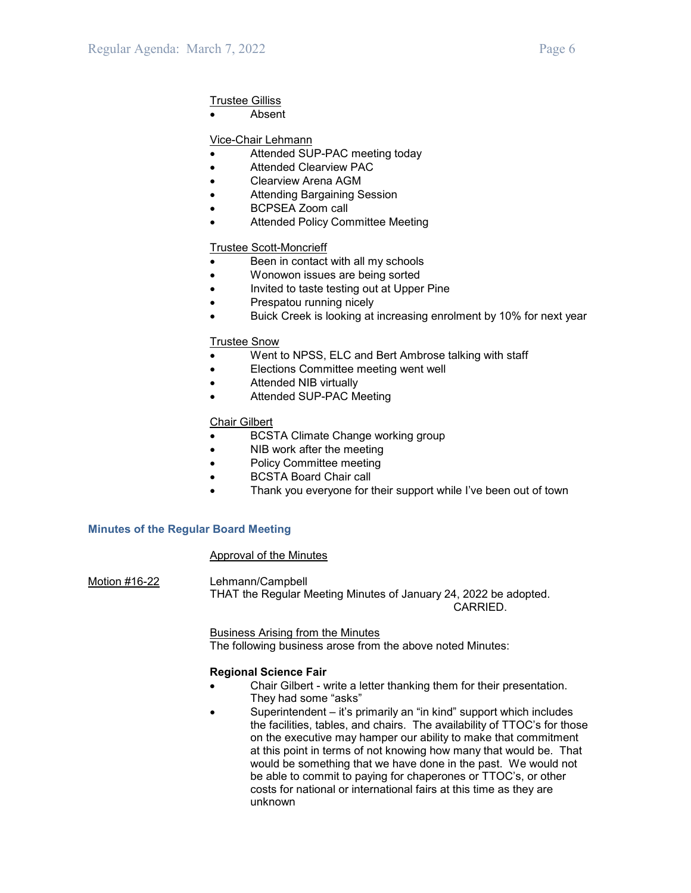#### Trustee Gilliss

**Absent** 

#### Vice-Chair Lehmann

- Attended SUP-PAC meeting today
- Attended Clearview PAC
- Clearview Arena AGM
- Attending Bargaining Session
- BCPSEA Zoom call
- Attended Policy Committee Meeting

#### Trustee Scott-Moncrieff

- Been in contact with all my schools
- Wonowon issues are being sorted
- Invited to taste testing out at Upper Pine
- Prespatou running nicely
- Buick Creek is looking at increasing enrolment by 10% for next year

#### Trustee Snow

- Went to NPSS, ELC and Bert Ambrose talking with staff
- Elections Committee meeting went well
- Attended NIB virtually
- Attended SUP-PAC Meeting

#### Chair Gilbert

- BCSTA Climate Change working group
- NIB work after the meeting
- Policy Committee meeting
- BCSTA Board Chair call
- Thank you everyone for their support while I've been out of town

#### **Minutes of the Regular Board Meeting**

#### Approval of the Minutes

Motion #16-22 Lehmann/Campbell THAT the Regular Meeting Minutes of January 24, 2022 be adopted. CARRIED.

> Business Arising from the Minutes The following business arose from the above noted Minutes:

#### **Regional Science Fair**

- Chair Gilbert write a letter thanking them for their presentation. They had some "asks"
- Superintendent it's primarily an "in kind" support which includes the facilities, tables, and chairs. The availability of TTOC's for those on the executive may hamper our ability to make that commitment at this point in terms of not knowing how many that would be. That would be something that we have done in the past. We would not be able to commit to paying for chaperones or TTOC's, or other costs for national or international fairs at this time as they are unknown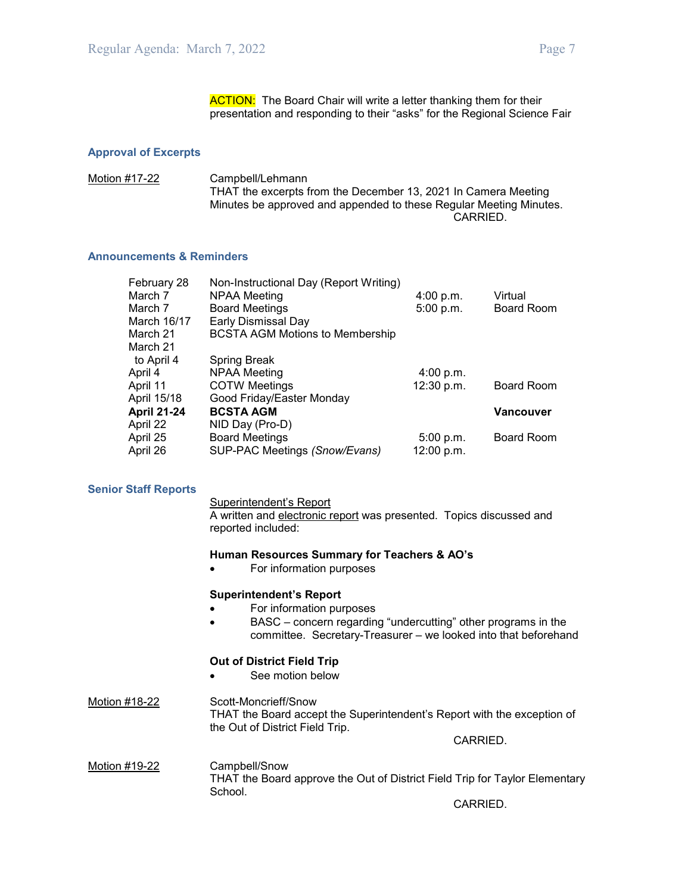**ACTION:** The Board Chair will write a letter thanking them for their presentation and responding to their "asks" for the Regional Science Fair

#### **Approval of Excerpts**

Motion #17-22 Campbell/Lehmann THAT the excerpts from the December 13, 2021 In Camera Meeting Minutes be approved and appended to these Regular Meeting Minutes. CARRIED.

#### **Announcements & Reminders**

| February 28        | Non-Instructional Day (Report Writing) |            |                   |
|--------------------|----------------------------------------|------------|-------------------|
| March 7            | NPAA Meeting                           | 4:00 p.m.  | Virtual           |
| March 7            | <b>Board Meetings</b>                  | 5:00 p.m.  | <b>Board Room</b> |
| March 16/17        | Early Dismissal Day                    |            |                   |
| March 21           | <b>BCSTA AGM Motions to Membership</b> |            |                   |
| March 21           |                                        |            |                   |
| to April 4         | <b>Spring Break</b>                    |            |                   |
| April 4            | NPAA Meeting                           | 4:00 p.m.  |                   |
| April 11           | <b>COTW Meetings</b>                   | 12:30 p.m. | <b>Board Room</b> |
| April 15/18        | Good Friday/Easter Monday              |            |                   |
| <b>April 21-24</b> | <b>BCSTA AGM</b>                       |            | <b>Vancouver</b>  |
| April 22           | NID Day (Pro-D)                        |            |                   |
| April 25           | <b>Board Meetings</b>                  | 5:00 p.m.  | Board Room        |
| April 26           | SUP-PAC Meetings (Snow/Evans)          | 12:00 p.m. |                   |
|                    |                                        |            |                   |

#### **Senior Staff Reports**

Superintendent's Report

A written and electronic report was presented. Topics discussed and reported included:

#### **Human Resources Summary for Teachers & AO's**

• For information purposes

#### **Superintendent's Report**

- For information purposes
- BASC concern regarding "undercutting" other programs in the committee. Secretary-Treasurer – we looked into that beforehand

#### **Out of District Field Trip**

See motion below

#### Motion #18-22 Scott-Moncrieff/Snow THAT the Board accept the Superintendent's Report with the exception of the Out of District Field Trip.

CARRIED.

Motion #19-22 Campbell/Snow THAT the Board approve the Out of District Field Trip for Taylor Elementary School.

CARRIED.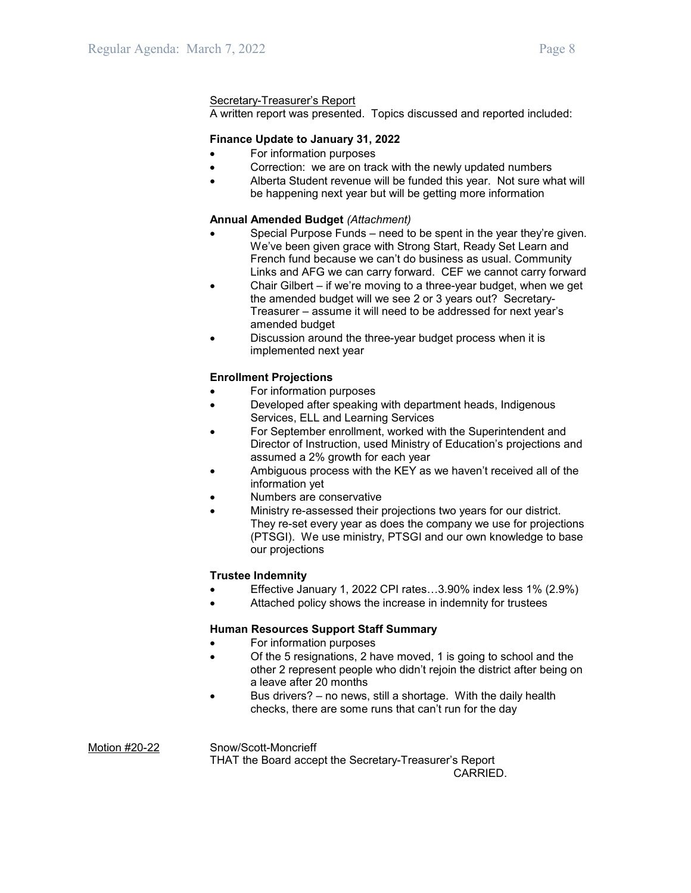#### Secretary-Treasurer's Report

A written report was presented. Topics discussed and reported included:

#### **Finance Update to January 31, 2022**

- For information purposes
- Correction: we are on track with the newly updated numbers
- Alberta Student revenue will be funded this year. Not sure what will be happening next year but will be getting more information

#### **Annual Amended Budget** *(Attachment)*

- Special Purpose Funds need to be spent in the year they're given. We've been given grace with Strong Start, Ready Set Learn and French fund because we can't do business as usual. Community Links and AFG we can carry forward. CEF we cannot carry forward
- Chair Gilbert if we're moving to a three-year budget, when we get the amended budget will we see 2 or 3 years out? Secretary-Treasurer – assume it will need to be addressed for next year's amended budget
- Discussion around the three-year budget process when it is implemented next year

#### **Enrollment Projections**

- For information purposes
- Developed after speaking with department heads, Indigenous Services, ELL and Learning Services
- For September enrollment, worked with the Superintendent and Director of Instruction, used Ministry of Education's projections and assumed a 2% growth for each year
- Ambiguous process with the KEY as we haven't received all of the information yet
- Numbers are conservative
- Ministry re-assessed their projections two years for our district. They re-set every year as does the company we use for projections (PTSGI). We use ministry, PTSGI and our own knowledge to base our projections

#### **Trustee Indemnity**

- Effective January 1, 2022 CPI rates…3.90% index less 1% (2.9%)
- Attached policy shows the increase in indemnity for trustees

#### **Human Resources Support Staff Summary**

- For information purposes
- Of the 5 resignations, 2 have moved, 1 is going to school and the other 2 represent people who didn't rejoin the district after being on a leave after 20 months
- Bus drivers? no news, still a shortage. With the daily health checks, there are some runs that can't run for the day

Motion #20-22 Snow/Scott-Moncrieff THAT the Board accept the Secretary-Treasurer's Report CARRIED.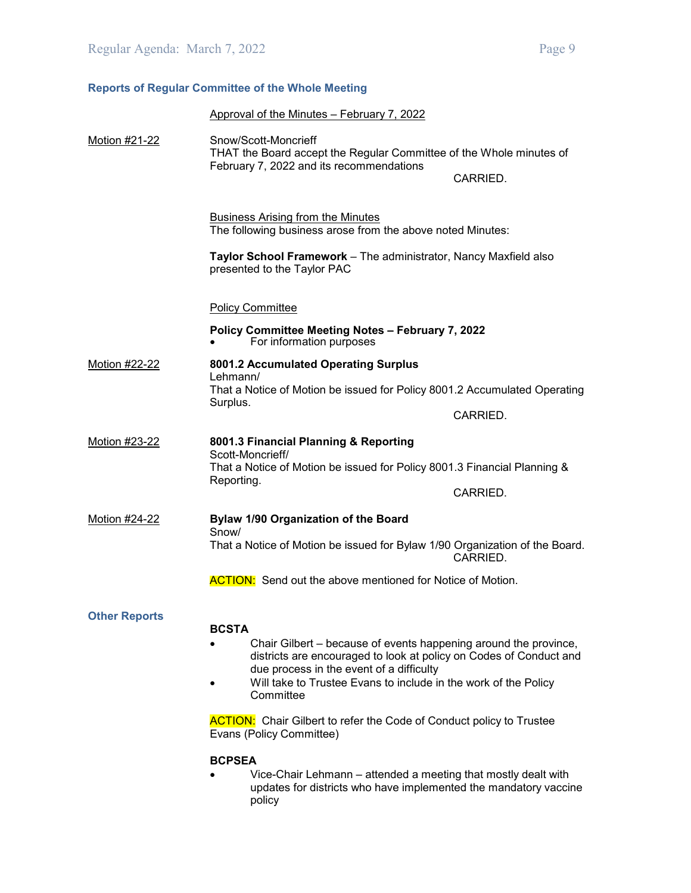### **Reports of Regular Committee of the Whole Meeting**

|                      | Approval of the Minutes - February 7, 2022                                                                                                                                         |          |
|----------------------|------------------------------------------------------------------------------------------------------------------------------------------------------------------------------------|----------|
|                      |                                                                                                                                                                                    |          |
| Motion #21-22        | Snow/Scott-Moncrieff<br>THAT the Board accept the Regular Committee of the Whole minutes of<br>February 7, 2022 and its recommendations                                            | CARRIED. |
|                      | <b>Business Arising from the Minutes</b><br>The following business arose from the above noted Minutes:                                                                             |          |
|                      | Taylor School Framework - The administrator, Nancy Maxfield also<br>presented to the Taylor PAC                                                                                    |          |
|                      | <b>Policy Committee</b>                                                                                                                                                            |          |
|                      | Policy Committee Meeting Notes - February 7, 2022<br>For information purposes                                                                                                      |          |
| Motion #22-22        | 8001.2 Accumulated Operating Surplus                                                                                                                                               |          |
|                      | Lehmann/<br>That a Notice of Motion be issued for Policy 8001.2 Accumulated Operating<br>Surplus.                                                                                  |          |
|                      |                                                                                                                                                                                    | CARRIED. |
| Motion #23-22        | 8001.3 Financial Planning & Reporting<br>Scott-Moncrieff/<br>That a Notice of Motion be issued for Policy 8001.3 Financial Planning &                                              |          |
|                      | Reporting.                                                                                                                                                                         | CARRIED. |
| Motion #24-22        | Bylaw 1/90 Organization of the Board                                                                                                                                               |          |
|                      | Snow/<br>That a Notice of Motion be issued for Bylaw 1/90 Organization of the Board.                                                                                               | CARRIED. |
|                      | <b>ACTION:</b> Send out the above mentioned for Notice of Motion.                                                                                                                  |          |
|                      |                                                                                                                                                                                    |          |
| <b>Other Reports</b> | <b>BCSTA</b>                                                                                                                                                                       |          |
|                      | Chair Gilbert – because of events happening around the province,<br>districts are encouraged to look at policy on Codes of Conduct and<br>due process in the event of a difficulty |          |
|                      | Will take to Trustee Evans to include in the work of the Policy<br>Committee                                                                                                       |          |

**ACTION:** Chair Gilbert to refer the Code of Conduct policy to Trustee Evans (Policy Committee)

#### **BCPSEA**

• Vice-Chair Lehmann – attended a meeting that mostly dealt with updates for districts who have implemented the mandatory vaccine policy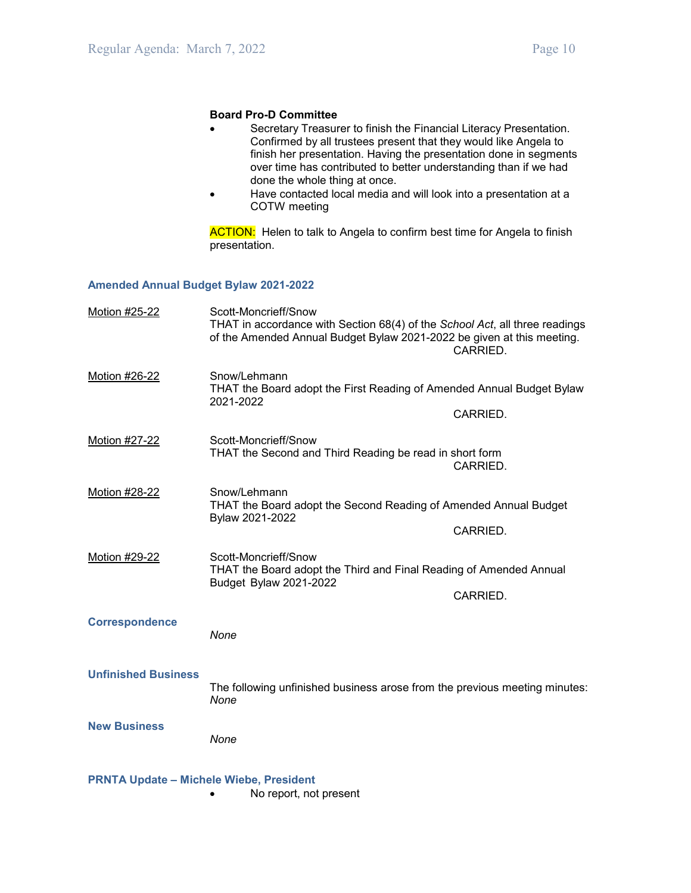#### **Board Pro-D Committee**

- Secretary Treasurer to finish the Financial Literacy Presentation. Confirmed by all trustees present that they would like Angela to finish her presentation. Having the presentation done in segments over time has contributed to better understanding than if we had done the whole thing at once.
- Have contacted local media and will look into a presentation at a COTW meeting

**ACTION:** Helen to talk to Angela to confirm best time for Angela to finish presentation.

#### **Amended Annual Budget Bylaw 2021-2022**

| <b>Motion #25-22</b>                           | Scott-Moncrieff/Snow<br>THAT in accordance with Section 68(4) of the School Act, all three readings<br>of the Amended Annual Budget Bylaw 2021-2022 be given at this meeting. | CARRIED. |
|------------------------------------------------|-------------------------------------------------------------------------------------------------------------------------------------------------------------------------------|----------|
| Motion #26-22                                  | Snow/Lehmann<br>THAT the Board adopt the First Reading of Amended Annual Budget Bylaw<br>2021-2022                                                                            | CARRIED. |
| Motion #27-22                                  | Scott-Moncrieff/Snow<br>THAT the Second and Third Reading be read in short form                                                                                               | CARRIED. |
| Motion #28-22                                  | Snow/Lehmann<br>THAT the Board adopt the Second Reading of Amended Annual Budget<br>Bylaw 2021-2022                                                                           | CARRIED. |
| Motion #29-22                                  | Scott-Moncrieff/Snow<br>THAT the Board adopt the Third and Final Reading of Amended Annual<br>Budget Bylaw 2021-2022                                                          | CARRIED. |
| <b>Correspondence</b>                          | None                                                                                                                                                                          |          |
| <b>Unfinished Business</b>                     | The following unfinished business arose from the previous meeting minutes:<br>None                                                                                            |          |
| <b>New Business</b>                            | None                                                                                                                                                                          |          |
| <b>PRNTA Update - Michele Wiebe, President</b> |                                                                                                                                                                               |          |

• No report, not present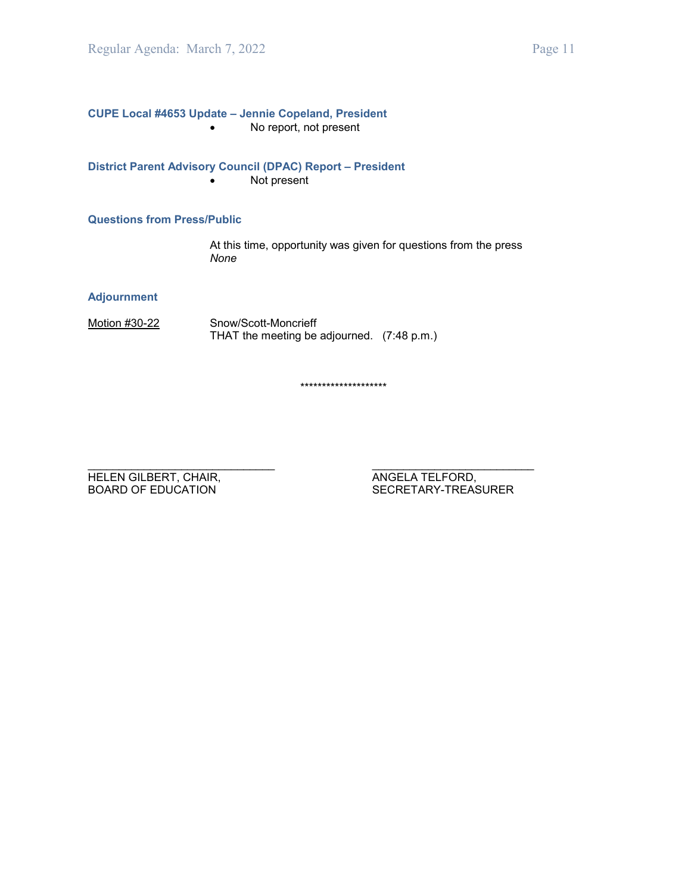**CUPE Local #4653 Update – Jennie Copeland, President** • No report, not present

**District Parent Advisory Council (DPAC) Report – President** • Not present

**Questions from Press/Public**

At this time, opportunity was given for questions from the press *None*

**Adjournment**

Motion #30-22 Snow/Scott-Moncrieff THAT the meeting be adjourned. (7:48 p.m.)

\*\*\*\*\*\*\*\*\*\*\*\*\*\*\*\*\*\*\*\*

\_\_\_\_\_\_\_\_\_\_\_\_\_\_\_\_\_\_\_\_\_\_\_\_\_\_\_\_\_\_ \_\_\_\_\_\_\_\_\_\_\_\_\_\_\_\_\_\_\_\_\_\_\_\_\_\_ HELEN GILBERT, CHAIR, ANGELA TELFORD, ANGELA TELFORD, BOARD OF EDUCATION

SECRETARY-TREASURER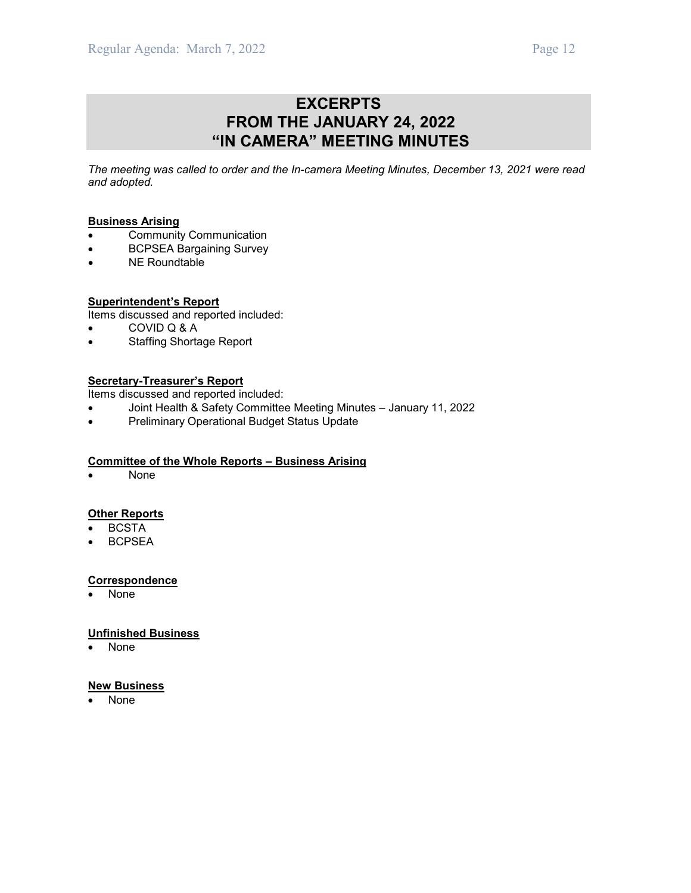# **EXCERPTS FROM THE JANUARY 24, 2022 "IN CAMERA" MEETING MINUTES**

*The meeting was called to order and the In-camera Meeting Minutes, December 13, 2021 were read and adopted.*

#### **Business Arising**

- Community Communication
- BCPSEA Bargaining Survey
- NE Roundtable
- 

**Superintendent's Report** Items discussed and reported included:

- COVID Q & A
- Staffing Shortage Report

#### **Secretary-Treasurer's Report**

Items discussed and reported included:

- Joint Health & Safety Committee Meeting Minutes January 11, 2022
- Preliminary Operational Budget Status Update

#### **Committee of the Whole Reports – Business Arising**

• None

#### **Other Reports**

- **BCSTA**
- BCPSEA

#### **Correspondence**

• None

#### **Unfinished Business**

• None

#### **New Business**

• None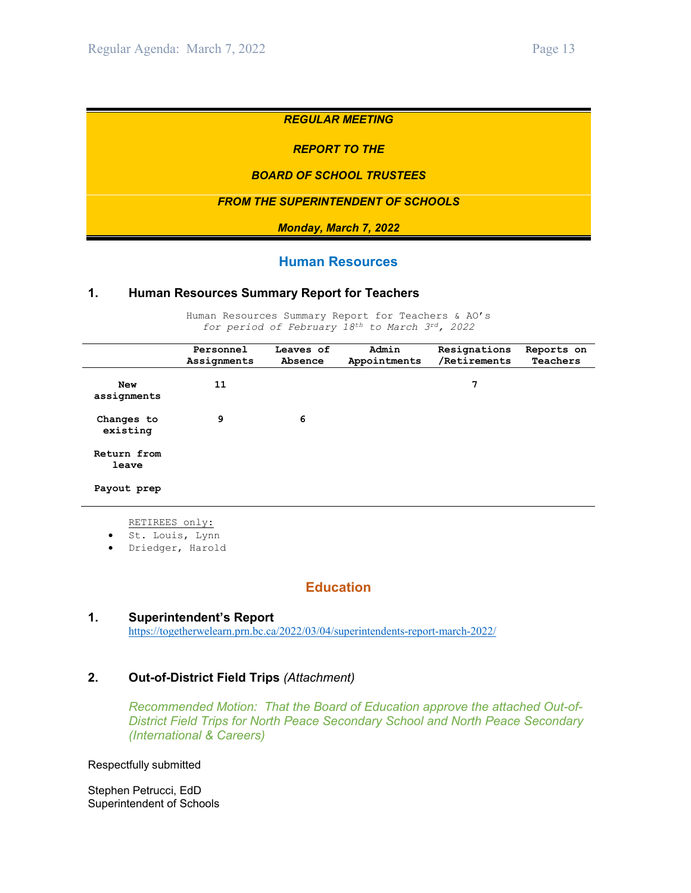#### *REGULAR MEETING*

#### *REPORT TO THE*

#### *BOARD OF SCHOOL TRUSTEES*

#### *FROM THE SUPERINTENDENT OF SCHOOLS*

*Monday, March 7, 2022*

#### **Human Resources**

#### **1. Human Resources Summary Report for Teachers**

Human Resources Summary Report for Teachers & AO's *for period of February 18th to March 3rd, 2022*

|                           | Personnel<br>Assignments | Leaves of<br>Absence | Admin<br>Appointments | Resignations<br>/Retirements | Reports on<br>Teachers |
|---------------------------|--------------------------|----------------------|-----------------------|------------------------------|------------------------|
| <b>New</b><br>assignments | 11                       |                      |                       | 7                            |                        |
| Changes to<br>existing    | 9                        | 6                    |                       |                              |                        |
| Return from<br>leave      |                          |                      |                       |                              |                        |
| Payout prep               |                          |                      |                       |                              |                        |

- RETIREES only:
- St. Louis, Lynn
- Driedger, Harold

### **Education**

#### **1. Superintendent's Report**

<https://togetherwelearn.prn.bc.ca/2022/03/04/superintendents-report-march-2022/>

#### **2. Out-of-District Field Trips** *(Attachment)*

*Recommended Motion: That the Board of Education approve the attached Out-of-District Field Trips for North Peace Secondary School and North Peace Secondary (International & Careers)*

Respectfully submitted

Stephen Petrucci, EdD Superintendent of Schools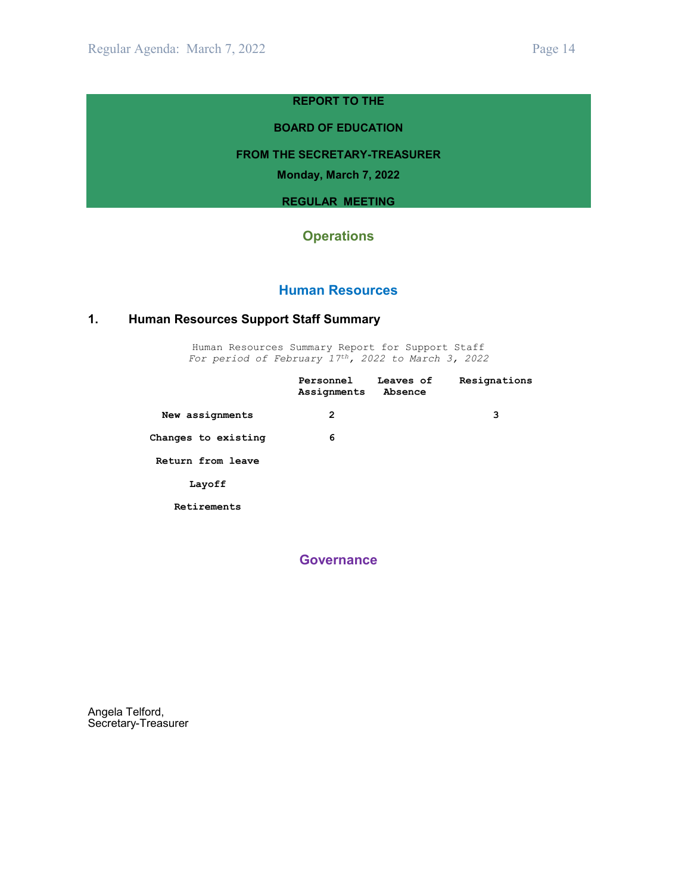#### **REPORT TO THE**

#### **BOARD OF EDUCATION**

#### **FROM THE SECRETARY-TREASURER**

**Monday, March 7, 2022**

#### **REGULAR MEETING**

# **Operations**

#### **Human Resources**

### **1. Human Resources Support Staff Summary**

Human Resources Summary Report for Support Staff *For period of February 17th, 2022 to March 3, 2022*

|                     | Personnel<br>Assignments | Leaves of<br>Absence | Resignations |
|---------------------|--------------------------|----------------------|--------------|
| New assignments     | 2                        |                      | 3            |
| Changes to existing | 6                        |                      |              |
| Return from leave   |                          |                      |              |
| Layoff              |                          |                      |              |
| Retirements         |                          |                      |              |

**Governance**

Angela Telford, Secretary-Treasurer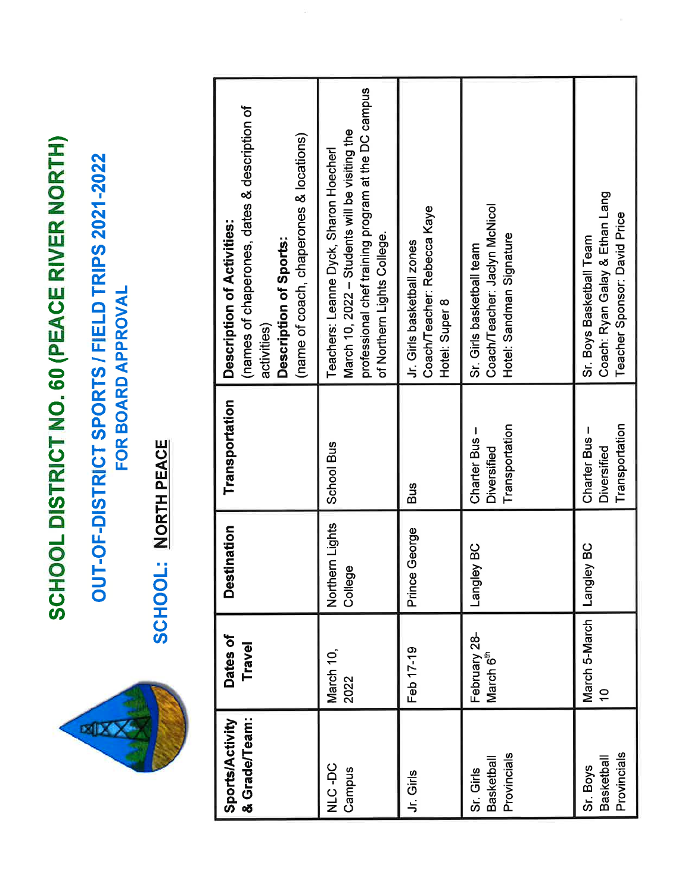SCHOOL DISTRICT NO. 60 (PEACE RIVER NORTH)

OUT-OF-DISTRICT SPORTS / FIELD TRIPS 2021-2022 FOR BOARD APPROVAL

**EXX** 

**SCHOOL: NORTH PEACE** 

| <b>Sports/Activity</b>                       | Dates of                              | <b>Destination</b>         | Transportation                                       | Description of Activities:                                                                                                                                                     |
|----------------------------------------------|---------------------------------------|----------------------------|------------------------------------------------------|--------------------------------------------------------------------------------------------------------------------------------------------------------------------------------|
| & Grade/Team:                                | Travel                                |                            |                                                      | (names of chaperones, dates & description of<br>(name of coach, chaperones & locations)<br>Description of Sports:<br>activities)                                               |
| <b>OU-DIN</b><br>Campus                      | March 10,<br>2022                     | Northern Lights<br>College | <b>School Bus</b>                                    | professional chef training program at the DC campus<br>March 10, 2022 - Students will be visiting the<br>Teachers: Leanne Dyck, Sharon Hoecherl<br>of Northern Lights College. |
| Jr. Girls                                    | Feb 17-19                             | Prince George              | <b>Bus</b>                                           | Coach/Teacher: Rebecca Kaye<br>Jr. Girls basketball zones<br>Hotel: Super 8                                                                                                    |
| Provincials<br>Basketball<br>Sr. Girls       | February 28-<br>March 6 <sup>th</sup> | Langley BC                 | Transportation<br>Charter Bus-<br>Diversified        | Coach/Teacher: Jaclyn McNicol<br>Hotel: Sandman Signature<br>Sr. Girls basketball team                                                                                         |
| Provincials<br><b>Basketball</b><br>Sr. Boys | March 5-March<br>$\frac{1}{2}$        | <b>Langley BC</b>          | Transportation<br>Charter Bus-<br><b>Diversified</b> | Coach: Ryan Galay & Ethan Lang<br>Teacher Sponsor: David Price<br>Sr. Boys Basketball Team                                                                                     |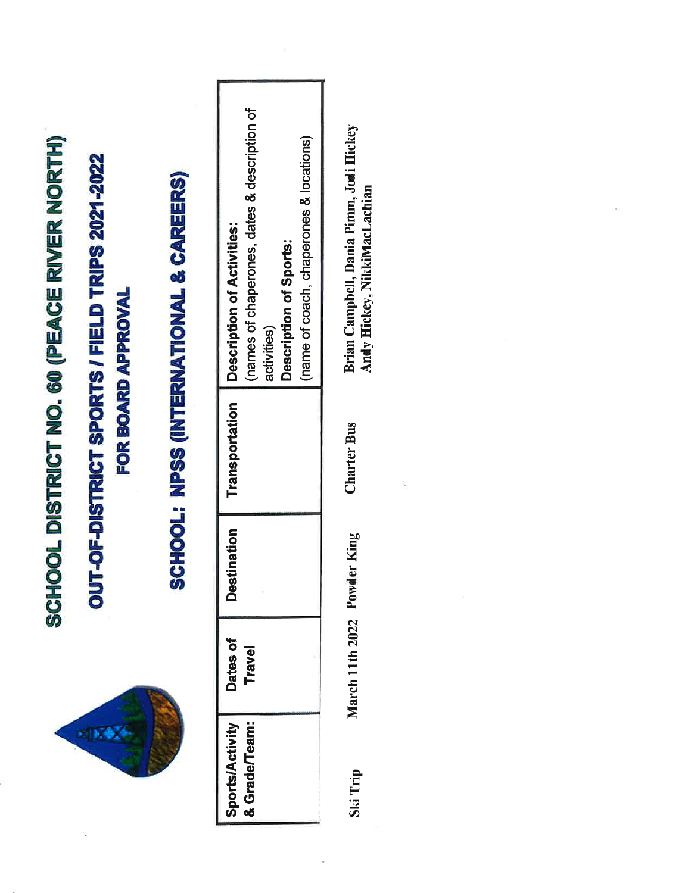| HOOL DISTRICT NO. 60 (PEACE RIVER NORTH) | UT-OF-DISTRICT SPORTS / FIELD TRIPS 2021-2022 | SCHOOL: NPSS (INTERNATIONAL & CAREERS) | (names of chaperones, dates & description of<br>(name of coach, chaperones & locations)<br>Description of Activities:<br>Description of Sports:<br>activities) |  |
|------------------------------------------|-----------------------------------------------|----------------------------------------|----------------------------------------------------------------------------------------------------------------------------------------------------------------|--|
| ပ္တ                                      | FOR BOARD APPROVAL                            |                                        | Transportation                                                                                                                                                 |  |
|                                          |                                               |                                        | <b>Destination</b>                                                                                                                                             |  |
|                                          |                                               |                                        | Dates of<br><b>Travel</b>                                                                                                                                      |  |
|                                          |                                               |                                        | & Grade/Team:<br><b>Sports/Activity</b>                                                                                                                        |  |

Brian Campbell, Dania Pimm, Jodi Hickey Andy Hickey, NikkiMacLachian **Charter Bus** March 11th 2022 Powder King

Ski Trip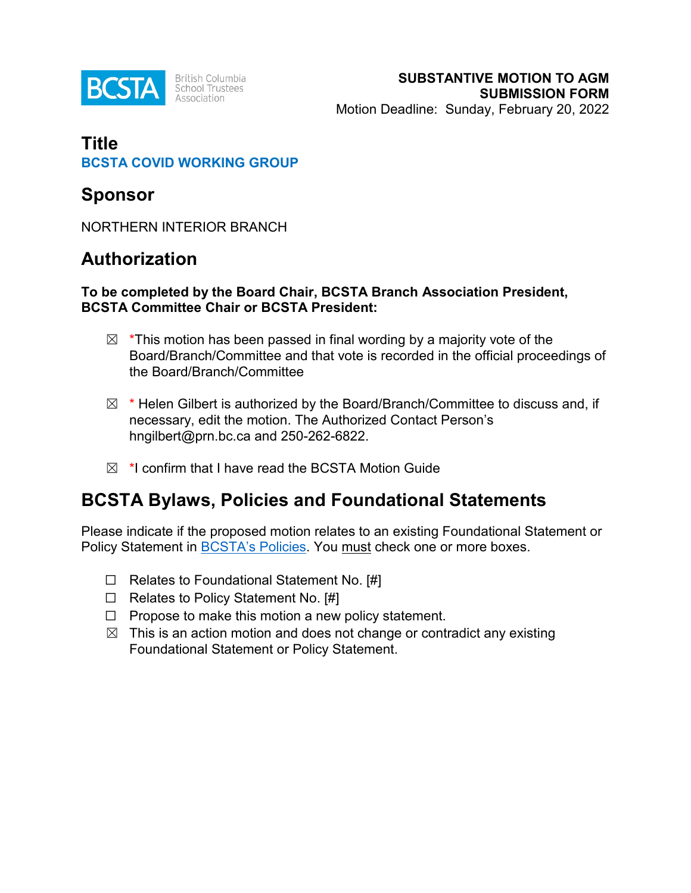

# **Title BCSTA COVID WORKING GROUP**

# **Sponsor**

NORTHERN INTERIOR BRANCH

# **Authorization**

### **To be completed by the Board Chair, BCSTA Branch Association President, BCSTA Committee Chair or BCSTA President:**

- $\boxtimes$  \*This motion has been passed in final wording by a majority vote of the Board/Branch/Committee and that vote is recorded in the official proceedings of the Board/Branch/Committee
- $\boxtimes$  \* Helen Gilbert is authorized by the Board/Branch/Committee to discuss and, if necessary, edit the motion. The Authorized Contact Person's hngilbert@prn.bc.ca and 250-262-6822.
- $\boxtimes$  \*I confirm that I have read the BCSTA Motion Guide

# **BCSTA Bylaws, Policies and Foundational Statements**

Please indicate if the proposed motion relates to an existing Foundational Statement or Policy Statement in **[BCSTA's](http://bcsta.org/about/bylaws-policies-and-operations/) Policies**. You must check one or more boxes.

- ☐ Relates to Foundational Statement No. [#]
- $\Box$  Relates to Policy Statement No. [#]
- $\Box$  Propose to make this motion a new policy statement.
- $\boxtimes$  This is an action motion and does not change or contradict any existing Foundational Statement or Policy Statement.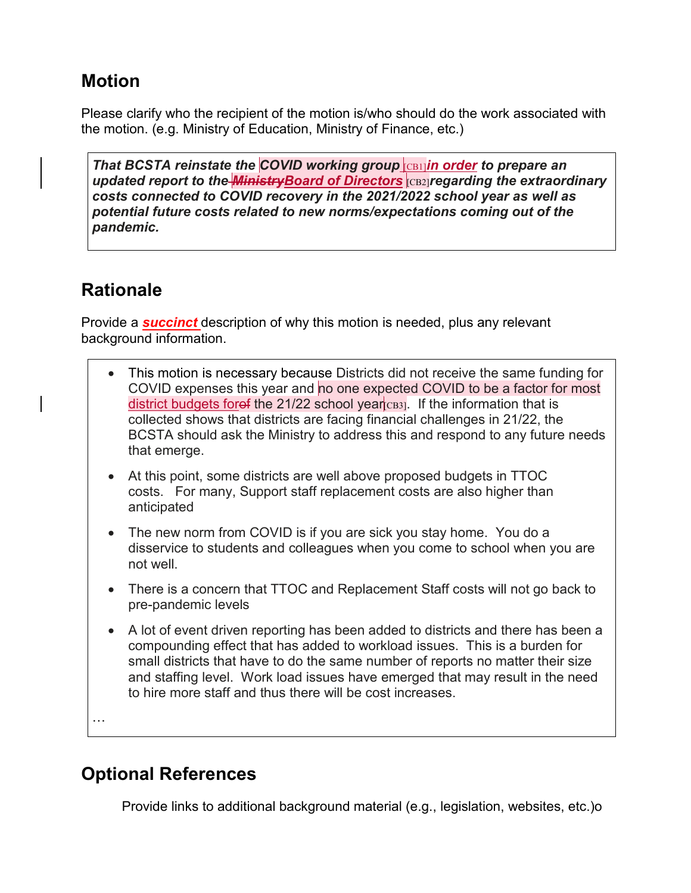# **Motion**

Please clarify who the recipient of the motion is/who should do the work associated with the motion. (e.g. Ministry of Education, Ministry of Finance, etc.)

*That BCSTA reinstate the COVID working group* [CB1]*in order to prepare an updated report to the MinistryBoard of Directors* [CB2]*regarding the extraordinary costs connected to COVID recovery in the 2021/2022 school year as well as potential future costs related to new norms/expectations coming out of the pandemic.*

# **Rationale**

Provide a *succinct* description of why this motion is needed, plus any relevant background information.

- This motion is necessary because Districts did not receive the same funding for COVID expenses this year and no one expected COVID to be a factor for most district budgets foref the 21/22 school year  $\cos$ . If the information that is collected shows that districts are facing financial challenges in 21/22, the BCSTA should ask the Ministry to address this and respond to any future needs that emerge.
- At this point, some districts are well above proposed budgets in TTOC costs. For many, Support staff replacement costs are also higher than anticipated
- The new norm from COVID is if you are sick you stay home. You do a disservice to students and colleagues when you come to school when you are not well.
- There is a concern that TTOC and Replacement Staff costs will not go back to pre-pandemic levels
- A lot of event driven reporting has been added to districts and there has been a compounding effect that has added to workload issues. This is a burden for small districts that have to do the same number of reports no matter their size and staffing level. Work load issues have emerged that may result in the need to hire more staff and thus there will be cost increases.

…

# **Optional References**

Provide links to additional background material (e.g., legislation, websites, etc.)o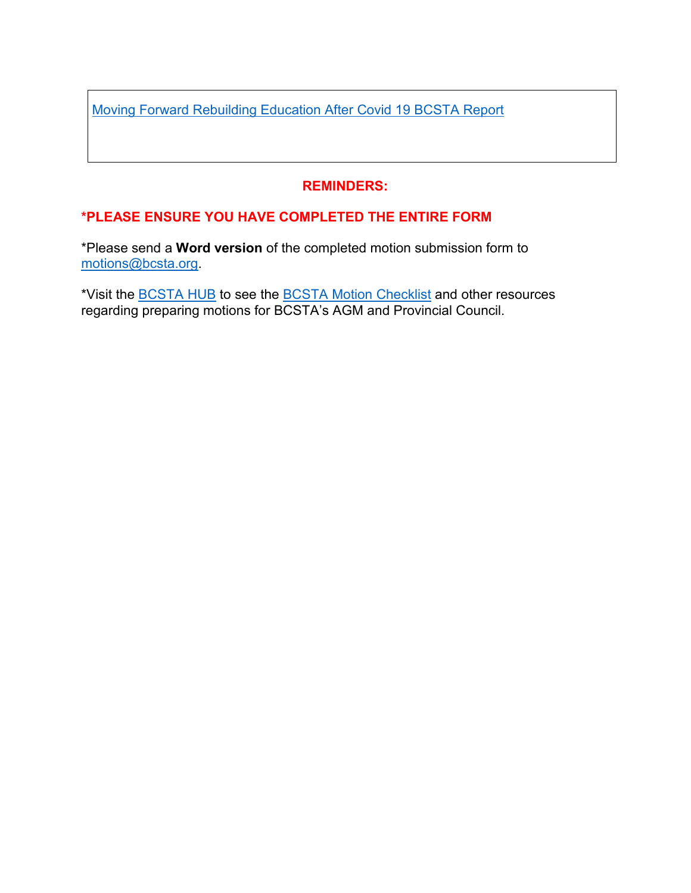Moving Forward Rebuilding Education After Covid 19 BCSTA Report

# **REMINDERS:**

# **\*PLEASE ENSURE YOU HAVE COMPLETED THE ENTIRE FORM**

\*Please send a **Word version** of the completed motion submission form to [motions@bcsta.org.](mailto:motions@bcsta.org)

\*Visit the [BCSTA](https://bcstahub.org/) HUB to see the BCSTA Motion [Checklist](https://bcstahub.org/EmailNotificationLink.po?handle=4611903&name=Advocacy_Letters) and other resources regarding preparing motions for BCSTA's AGM and Provincial Council.